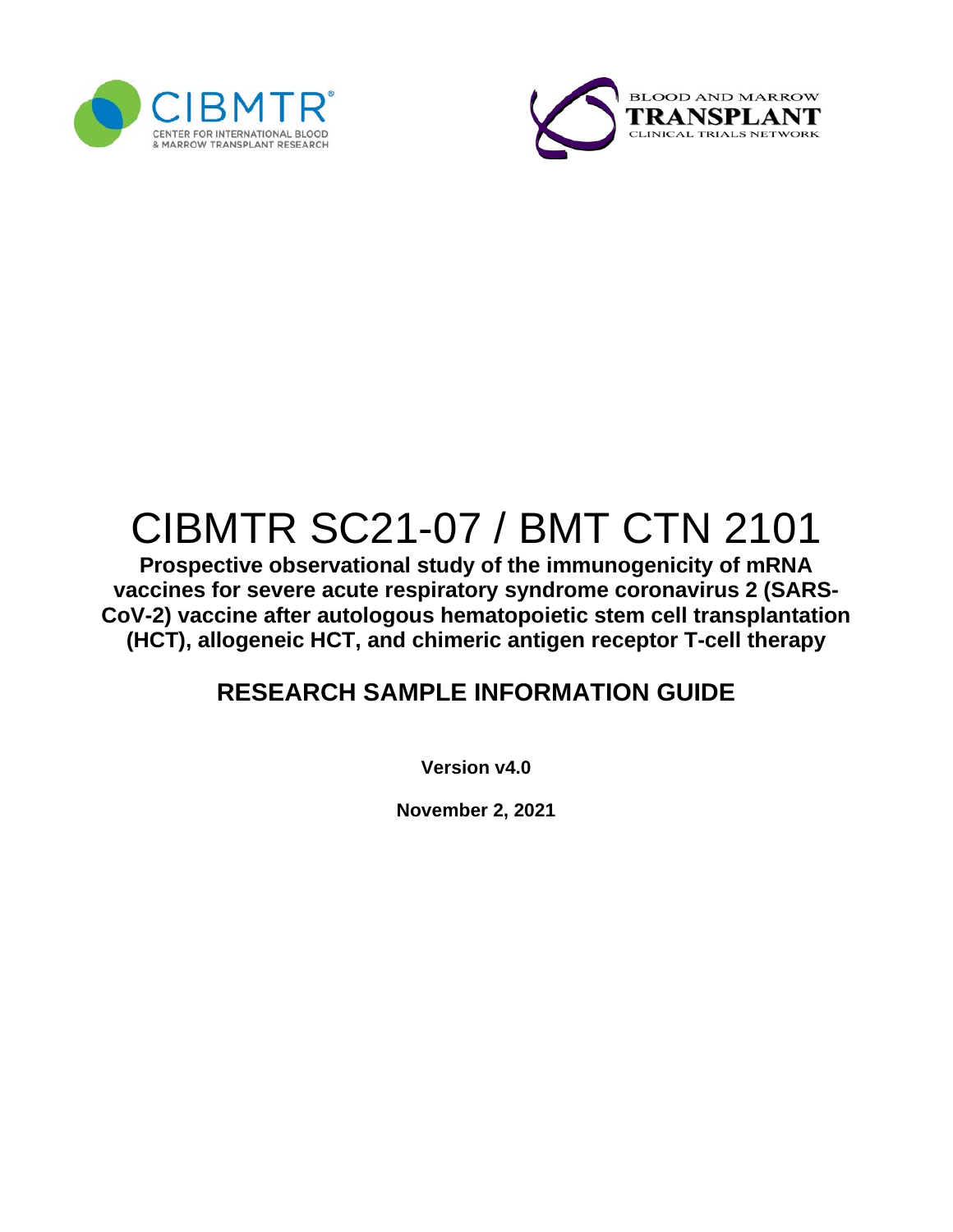



# CIBMTR SC21-07 / BMT CTN 2101

**Prospective observational study of the immunogenicity of mRNA vaccines for severe acute respiratory syndrome coronavirus 2 (SARS-CoV-2) vaccine after autologous hematopoietic stem cell transplantation (HCT), allogeneic HCT, and chimeric antigen receptor T-cell therapy**

## **RESEARCH SAMPLE INFORMATION GUIDE**

**Version v4.0**

**November 2, 2021**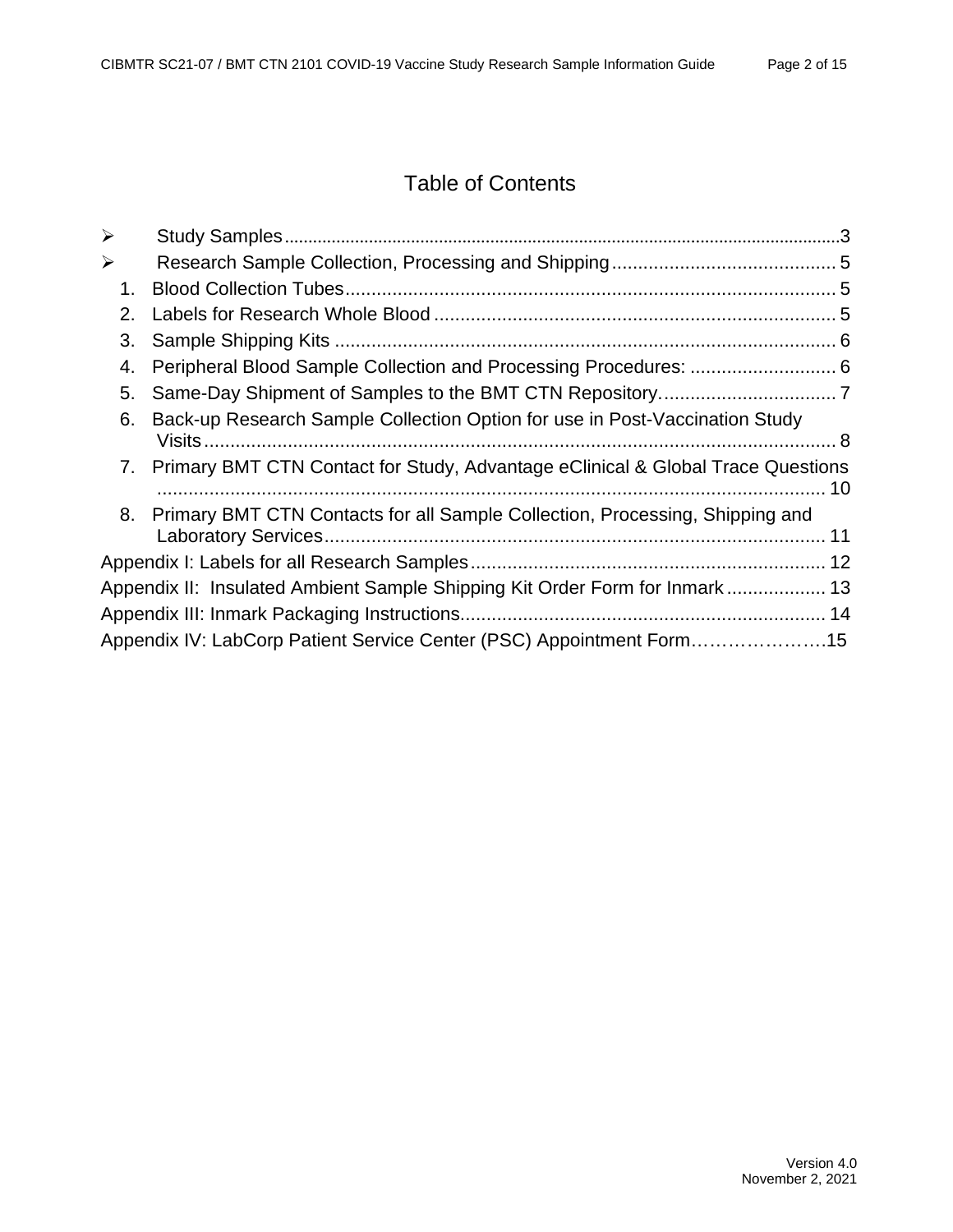## Table of Contents

| $\blacktriangleright$ |                                                                                    |  |
|-----------------------|------------------------------------------------------------------------------------|--|
| $\blacktriangleright$ |                                                                                    |  |
| 1.                    |                                                                                    |  |
| 2.                    |                                                                                    |  |
| 3.                    |                                                                                    |  |
| 4.                    |                                                                                    |  |
| 5.                    |                                                                                    |  |
| 6.                    | Back-up Research Sample Collection Option for use in Post-Vaccination Study        |  |
|                       | 7. Primary BMT CTN Contact for Study, Advantage eClinical & Global Trace Questions |  |
|                       | 8. Primary BMT CTN Contacts for all Sample Collection, Processing, Shipping and    |  |
|                       |                                                                                    |  |
|                       | Appendix II: Insulated Ambient Sample Shipping Kit Order Form for Inmark 13        |  |
|                       |                                                                                    |  |
|                       | Appendix IV: LabCorp Patient Service Center (PSC) Appointment Form15               |  |
|                       |                                                                                    |  |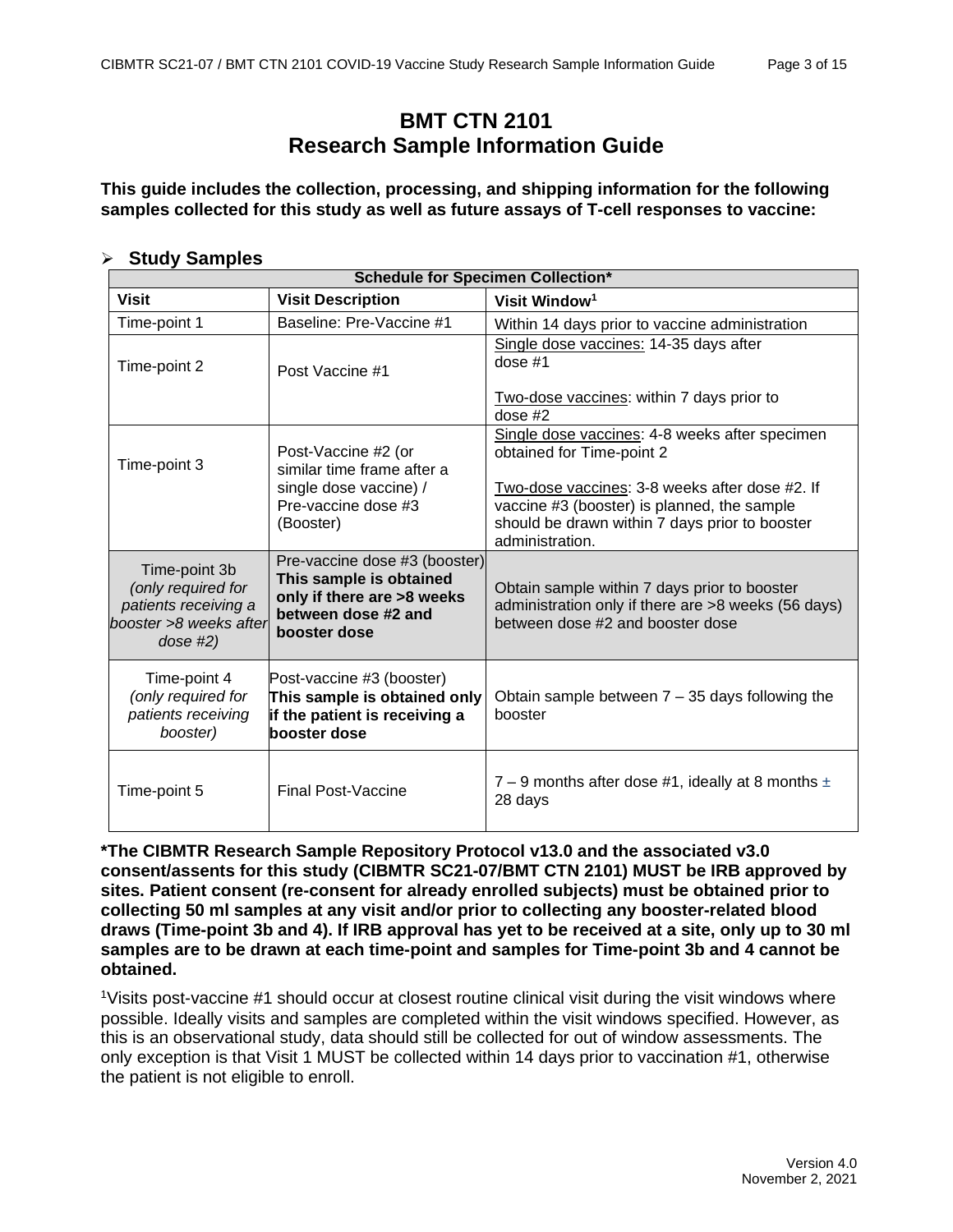### **BMT CTN 2101 Research Sample Information Guide**

**This guide includes the collection, processing, and shipping information for the following samples collected for this study as well as future assays of T-cell responses to vaccine:**

#### <span id="page-2-0"></span>**Study Samples**

| <b>Schedule for Specimen Collection*</b>                                                            |                                                                                                                               |                                                                                                                                                                                                                                                   |  |  |  |  |  |  |  |
|-----------------------------------------------------------------------------------------------------|-------------------------------------------------------------------------------------------------------------------------------|---------------------------------------------------------------------------------------------------------------------------------------------------------------------------------------------------------------------------------------------------|--|--|--|--|--|--|--|
| <b>Visit</b>                                                                                        | <b>Visit Description</b>                                                                                                      | Visit Window <sup>1</sup>                                                                                                                                                                                                                         |  |  |  |  |  |  |  |
| Time-point 1                                                                                        | Baseline: Pre-Vaccine #1                                                                                                      | Within 14 days prior to vaccine administration                                                                                                                                                                                                    |  |  |  |  |  |  |  |
| Time-point 2                                                                                        | Post Vaccine #1                                                                                                               | Single dose vaccines: 14-35 days after<br>dose $#1$<br>Two-dose vaccines: within 7 days prior to<br>dose $#2$                                                                                                                                     |  |  |  |  |  |  |  |
| Time-point 3                                                                                        | Post-Vaccine #2 (or<br>similar time frame after a<br>single dose vaccine) /<br>Pre-vaccine dose #3<br>(Booster)               | Single dose vaccines: 4-8 weeks after specimen<br>obtained for Time-point 2<br>Two-dose vaccines: 3-8 weeks after dose #2. If<br>vaccine #3 (booster) is planned, the sample<br>should be drawn within 7 days prior to booster<br>administration. |  |  |  |  |  |  |  |
| Time-point 3b<br>(only required for<br>patients receiving a<br>booster >8 weeks after<br>$dose$ #2) | Pre-vaccine dose #3 (booster)<br>This sample is obtained<br>only if there are >8 weeks<br>between dose #2 and<br>booster dose | Obtain sample within 7 days prior to booster<br>administration only if there are >8 weeks (56 days)<br>between dose #2 and booster dose                                                                                                           |  |  |  |  |  |  |  |
| Time-point 4<br>(only required for<br>patients receiving<br>booster)                                | Post-vaccine #3 (booster)<br>This sample is obtained only<br>if the patient is receiving a<br>booster dose                    | Obtain sample between $7 - 35$ days following the<br>booster                                                                                                                                                                                      |  |  |  |  |  |  |  |
| Time-point 5                                                                                        | <b>Final Post-Vaccine</b>                                                                                                     | 7 – 9 months after dose #1, ideally at 8 months $\pm$<br>28 days                                                                                                                                                                                  |  |  |  |  |  |  |  |

**\*The CIBMTR Research Sample Repository Protocol v13.0 and the associated v3.0 consent/assents for this study (CIBMTR SC21-07/BMT CTN 2101) MUST be IRB approved by sites. Patient consent (re-consent for already enrolled subjects) must be obtained prior to collecting 50 ml samples at any visit and/or prior to collecting any booster-related blood draws (Time-point 3b and 4). If IRB approval has yet to be received at a site, only up to 30 ml samples are to be drawn at each time-point and samples for Time-point 3b and 4 cannot be obtained.**

<sup>1</sup>Visits post-vaccine #1 should occur at closest routine clinical visit during the visit windows where possible. Ideally visits and samples are completed within the visit windows specified. However, as this is an observational study, data should still be collected for out of window assessments. The only exception is that Visit 1 MUST be collected within 14 days prior to vaccination #1, otherwise the patient is not eligible to enroll.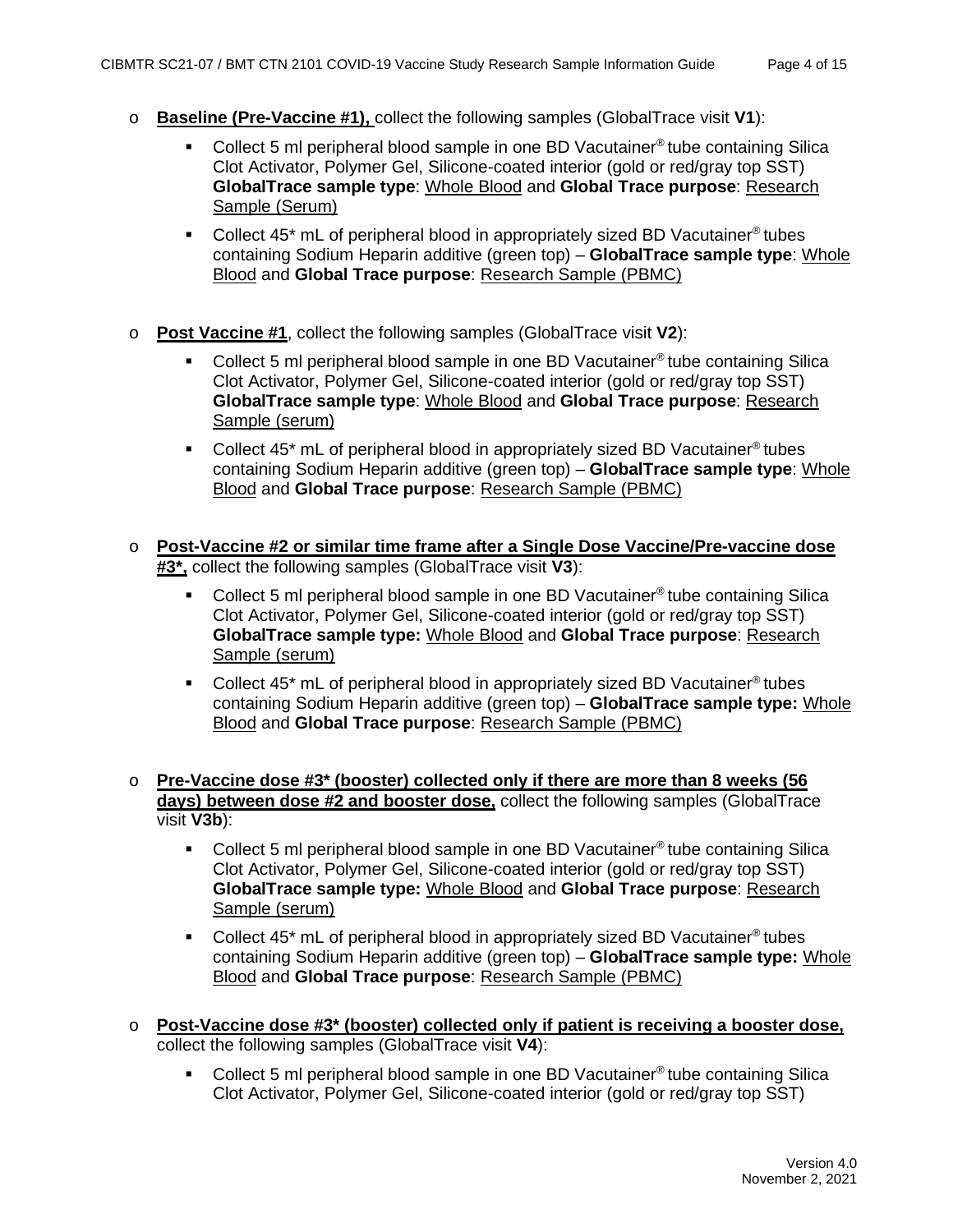- o **Baseline (Pre-Vaccine #1),** collect the following samples (GlobalTrace visit **V1**):
	- Collect 5 ml peripheral blood sample in one BD Vacutainer® tube containing Silica Clot Activator, Polymer Gel, Silicone-coated interior (gold or red/gray top SST) **GlobalTrace sample type**: Whole Blood and **Global Trace purpose**: Research Sample (Serum)
	- Collect  $45^*$  mL of peripheral blood in appropriately sized BD Vacutainer<sup>®</sup> tubes containing Sodium Heparin additive (green top) – **GlobalTrace sample type**: Whole Blood and **Global Trace purpose**: Research Sample (PBMC)
- o **Post Vaccine #1**, collect the following samples (GlobalTrace visit **V2**):
	- Collect 5 ml peripheral blood sample in one BD Vacutainer® tube containing Silica Clot Activator, Polymer Gel, Silicone-coated interior (gold or red/gray top SST) **GlobalTrace sample type**: Whole Blood and **Global Trace purpose**: Research Sample (serum)
	- Collect  $45^*$  mL of peripheral blood in appropriately sized BD Vacutainer<sup>®</sup> tubes containing Sodium Heparin additive (green top) – **GlobalTrace sample type**: Whole Blood and **Global Trace purpose**: Research Sample (PBMC)
- o **Post-Vaccine #2 or similar time frame after a Single Dose Vaccine/Pre-vaccine dose #3\*,** collect the following samples (GlobalTrace visit **V3**):
	- Collect 5 ml peripheral blood sample in one BD Vacutainer® tube containing Silica Clot Activator, Polymer Gel, Silicone-coated interior (gold or red/gray top SST) **GlobalTrace sample type:** Whole Blood and **Global Trace purpose**: Research Sample (serum)
	- Collect 45<sup>\*</sup> mL of peripheral blood in appropriately sized BD Vacutainer<sup>®</sup> tubes containing Sodium Heparin additive (green top) – **GlobalTrace sample type:** Whole Blood and **Global Trace purpose**: Research Sample (PBMC)
- o **Pre-Vaccine dose #3\* (booster) collected only if there are more than 8 weeks (56 days) between dose #2 and booster dose,** collect the following samples (GlobalTrace visit **V3b**):
	- Collect 5 ml peripheral blood sample in one BD Vacutainer<sup>®</sup> tube containing Silica Clot Activator, Polymer Gel, Silicone-coated interior (gold or red/gray top SST) **GlobalTrace sample type:** Whole Blood and **Global Trace purpose**: Research Sample (serum)
	- Collect 45\* mL of peripheral blood in appropriately sized BD Vacutainer® tubes containing Sodium Heparin additive (green top) – **GlobalTrace sample type:** Whole Blood and **Global Trace purpose**: Research Sample (PBMC)
- o **Post-Vaccine dose #3\* (booster) collected only if patient is receiving a booster dose,** collect the following samples (GlobalTrace visit **V4**):
	- Collect 5 ml peripheral blood sample in one BD Vacutainer® tube containing Silica Clot Activator, Polymer Gel, Silicone-coated interior (gold or red/gray top SST)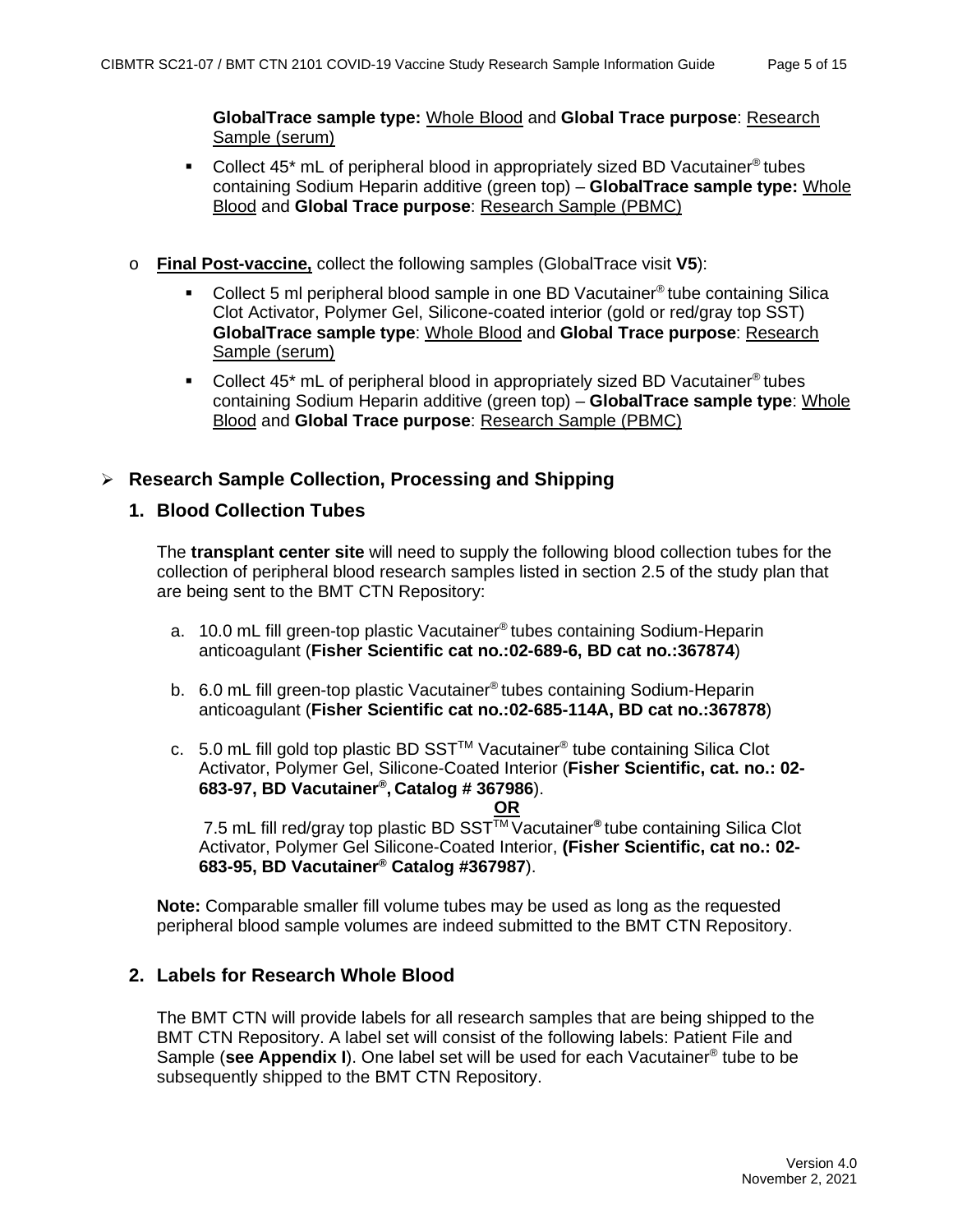**GlobalTrace sample type:** Whole Blood and **Global Trace purpose**: Research Sample (serum)

- Collect 45\* mL of peripheral blood in appropriately sized BD Vacutainer® tubes containing Sodium Heparin additive (green top) – **GlobalTrace sample type:** Whole Blood and **Global Trace purpose**: Research Sample (PBMC)
- o **Final Post-vaccine,** collect the following samples (GlobalTrace visit **V5**):
	- Collect 5 ml peripheral blood sample in one BD Vacutainer® tube containing Silica Clot Activator, Polymer Gel, Silicone-coated interior (gold or red/gray top SST) **GlobalTrace sample type**: Whole Blood and **Global Trace purpose**: Research Sample (serum)
	- Collect  $45^*$  mL of peripheral blood in appropriately sized BD Vacutainer<sup>®</sup> tubes containing Sodium Heparin additive (green top) – **GlobalTrace sample type**: Whole Blood and **Global Trace purpose**: Research Sample (PBMC)

#### <span id="page-4-1"></span><span id="page-4-0"></span>**Research Sample Collection, Processing and Shipping**

#### **1. Blood Collection Tubes**

The **transplant center site** will need to supply the following blood collection tubes for the collection of peripheral blood research samples listed in section 2.5 of the study plan that are being sent to the BMT CTN Repository:

- a. 10.0 mL fill green-top plastic Vacutainer® tubes containing Sodium-Heparin anticoagulant (**Fisher Scientific cat no.:02-689-6, BD cat no.:367874**)
- b. 6.0 mL fill green-top plastic Vacutainer® tubes containing Sodium-Heparin anticoagulant (**Fisher Scientific cat no.:02-685-114A, BD cat no.:367878**)
- c. 5.0 mL fill gold top plastic BD SST<sup>TM</sup> Vacutainer<sup>®</sup> tube containing Silica Clot Activator, Polymer Gel, Silicone-Coated Interior (**Fisher Scientific, cat. no.: 02- 683-97, BD Vacutainer®, Catalog # 367986**).

**OR** 7.5 mL fill red/gray top plastic BD SSTTM Vacutainer**®** tube containing Silica Clot Activator, Polymer Gel Silicone-Coated Interior, **(Fisher Scientific, cat no.: 02- 683-95, BD Vacutainer® Catalog #367987**).

**Note:** Comparable smaller fill volume tubes may be used as long as the requested peripheral blood sample volumes are indeed submitted to the BMT CTN Repository.

#### <span id="page-4-2"></span>**2. Labels for Research Whole Blood**

The BMT CTN will provide labels for all research samples that are being shipped to the BMT CTN Repository. A label set will consist of the following labels: Patient File and Sample (**see Appendix I**). One label set will be used for each Vacutainer® tube to be subsequently shipped to the BMT CTN Repository.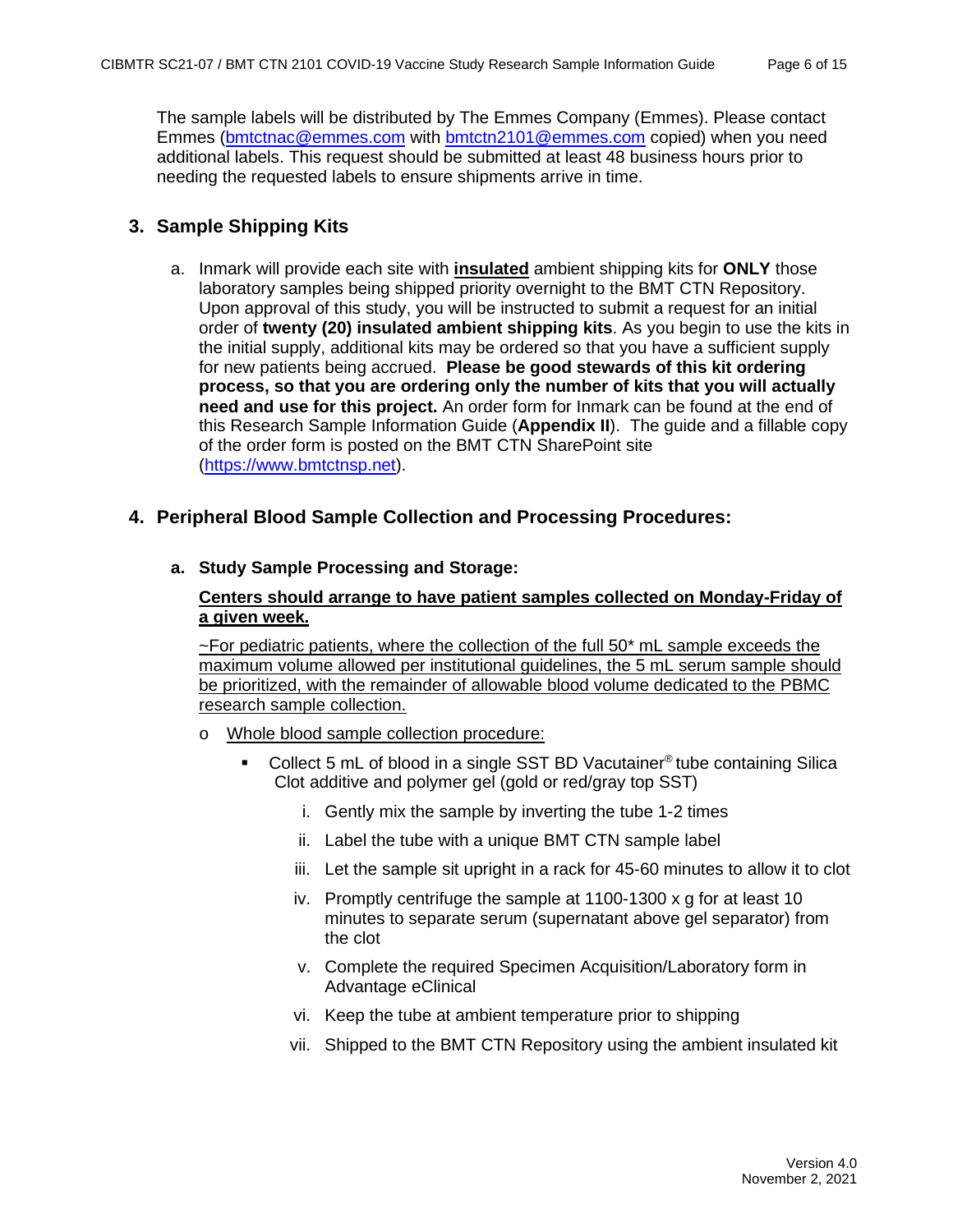The sample labels will be distributed by The Emmes Company (Emmes). Please contact Emmes [\(bmtctnac@emmes.com](mailto:bmtctnac@emmes.com) with [bmtctn2101@emmes.com](mailto:bmtctn2101@emmes.com) copied) when you need additional labels. This request should be submitted at least 48 business hours prior to needing the requested labels to ensure shipments arrive in time.

#### <span id="page-5-0"></span>**3. Sample Shipping Kits**

- a. Inmark will provide each site with **insulated** ambient shipping kits for **ONLY** those laboratory samples being shipped priority overnight to the BMT CTN Repository. Upon approval of this study, you will be instructed to submit a request for an initial order of **twenty (20) insulated ambient shipping kits**. As you begin to use the kits in the initial supply, additional kits may be ordered so that you have a sufficient supply for new patients being accrued. **Please be good stewards of this kit ordering process, so that you are ordering only the number of kits that you will actually need and use for this project.** An order form for Inmark can be found at the end of this Research Sample Information Guide (**Appendix II**). The guide and a fillable copy of the order form is posted on the BMT CTN SharePoint site [\(https://www.bmtctnsp.net\)](https://www.bmtctnsp.net/).
- <span id="page-5-1"></span>**4. Peripheral Blood Sample Collection and Processing Procedures:**

#### **a. Study Sample Processing and Storage:**

#### **Centers should arrange to have patient samples collected on Monday-Friday of a given week.**

 $\sim$  For pediatric patients, where the collection of the full 50 $^*$  mL sample exceeds the maximum volume allowed per institutional guidelines, the 5 mL serum sample should be prioritized, with the remainder of allowable blood volume dedicated to the PBMC research sample collection.

- o Whole blood sample collection procedure:
	- Collect 5 mL of blood in a single SST BD Vacutainer<sup>®</sup> tube containing Silica Clot additive and polymer gel (gold or red/gray top SST)
		- i. Gently mix the sample by inverting the tube 1-2 times
		- ii. Label the tube with a unique BMT CTN sample label
		- iii. Let the sample sit upright in a rack for 45-60 minutes to allow it to clot
		- iv. Promptly centrifuge the sample at 1100-1300 x g for at least 10 minutes to separate serum (supernatant above gel separator) from the clot
		- v. Complete the required Specimen Acquisition/Laboratory form in Advantage eClinical
		- vi. Keep the tube at ambient temperature prior to shipping
		- vii. Shipped to the BMT CTN Repository using the ambient insulated kit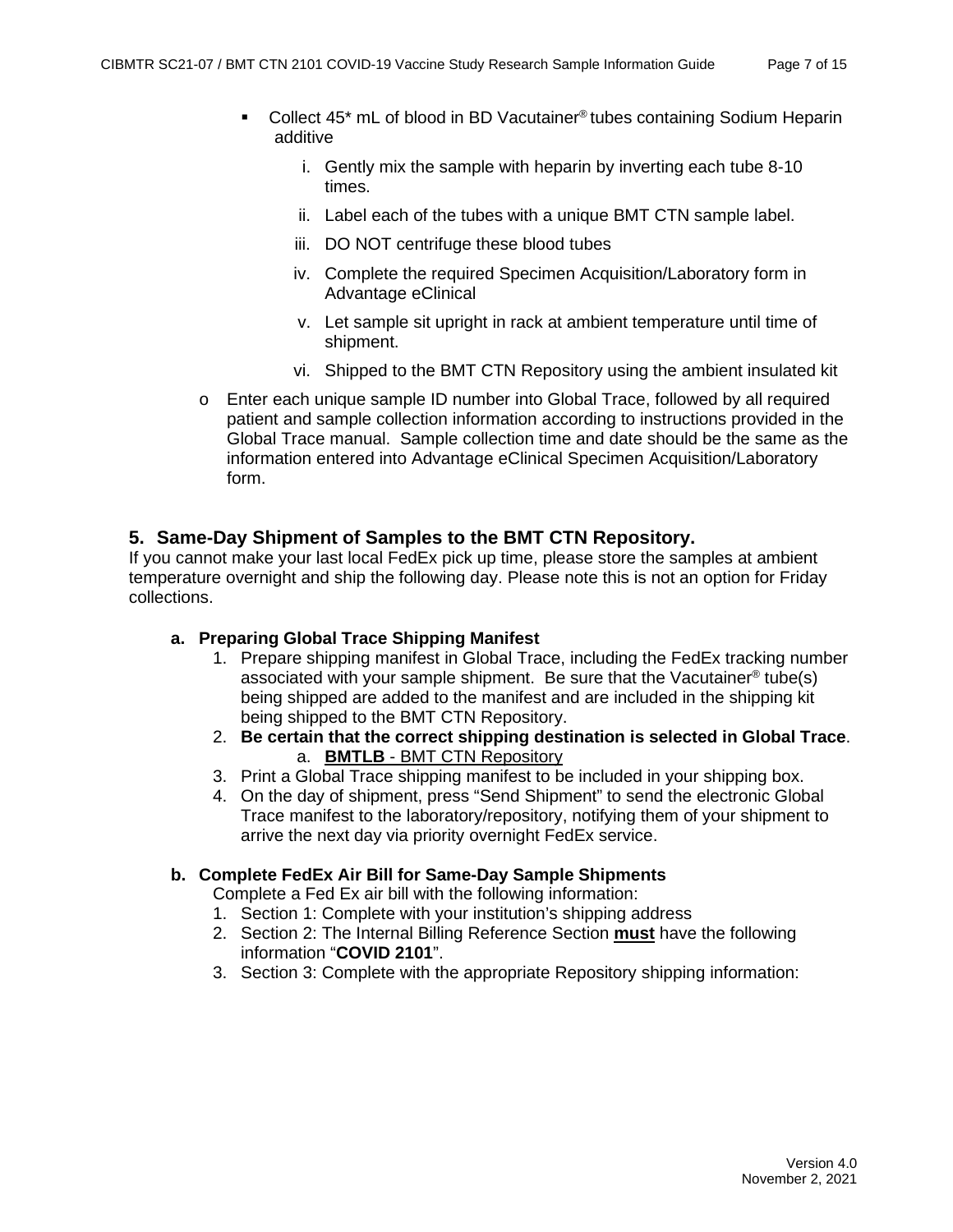- Collect 45<sup>\*</sup> mL of blood in BD Vacutainer<sup>®</sup> tubes containing Sodium Heparin additive
	- i. Gently mix the sample with heparin by inverting each tube 8-10 times.
	- ii. Label each of the tubes with a unique BMT CTN sample label.
	- iii. DO NOT centrifuge these blood tubes
	- iv. Complete the required Specimen Acquisition/Laboratory form in Advantage eClinical
	- v. Let sample sit upright in rack at ambient temperature until time of shipment.
	- vi. Shipped to the BMT CTN Repository using the ambient insulated kit
- o Enter each unique sample ID number into Global Trace, followed by all required patient and sample collection information according to instructions provided in the Global Trace manual. Sample collection time and date should be the same as the information entered into Advantage eClinical Specimen Acquisition/Laboratory form.

#### <span id="page-6-0"></span>**5. Same-Day Shipment of Samples to the BMT CTN Repository.**

If you cannot make your last local FedEx pick up time, please store the samples at ambient temperature overnight and ship the following day. Please note this is not an option for Friday collections.

#### **a. Preparing Global Trace Shipping Manifest**

- 1. Prepare shipping manifest in Global Trace, including the FedEx tracking number associated with your sample shipment. Be sure that the Vacutainer® tube(s) being shipped are added to the manifest and are included in the shipping kit being shipped to the BMT CTN Repository.
- 2. **Be certain that the correct shipping destination is selected in Global Trace**. a. **BMTLB** - BMT CTN Repository
- 3. Print a Global Trace shipping manifest to be included in your shipping box.
- 4. On the day of shipment, press "Send Shipment" to send the electronic Global Trace manifest to the laboratory/repository, notifying them of your shipment to arrive the next day via priority overnight FedEx service.

#### **b. Complete FedEx Air Bill for Same-Day Sample Shipments**

Complete a Fed Ex air bill with the following information:

- 1. Section 1: Complete with your institution's shipping address
- 2. Section 2: The Internal Billing Reference Section **must** have the following information "**COVID 2101**".
- 3. Section 3: Complete with the appropriate Repository shipping information: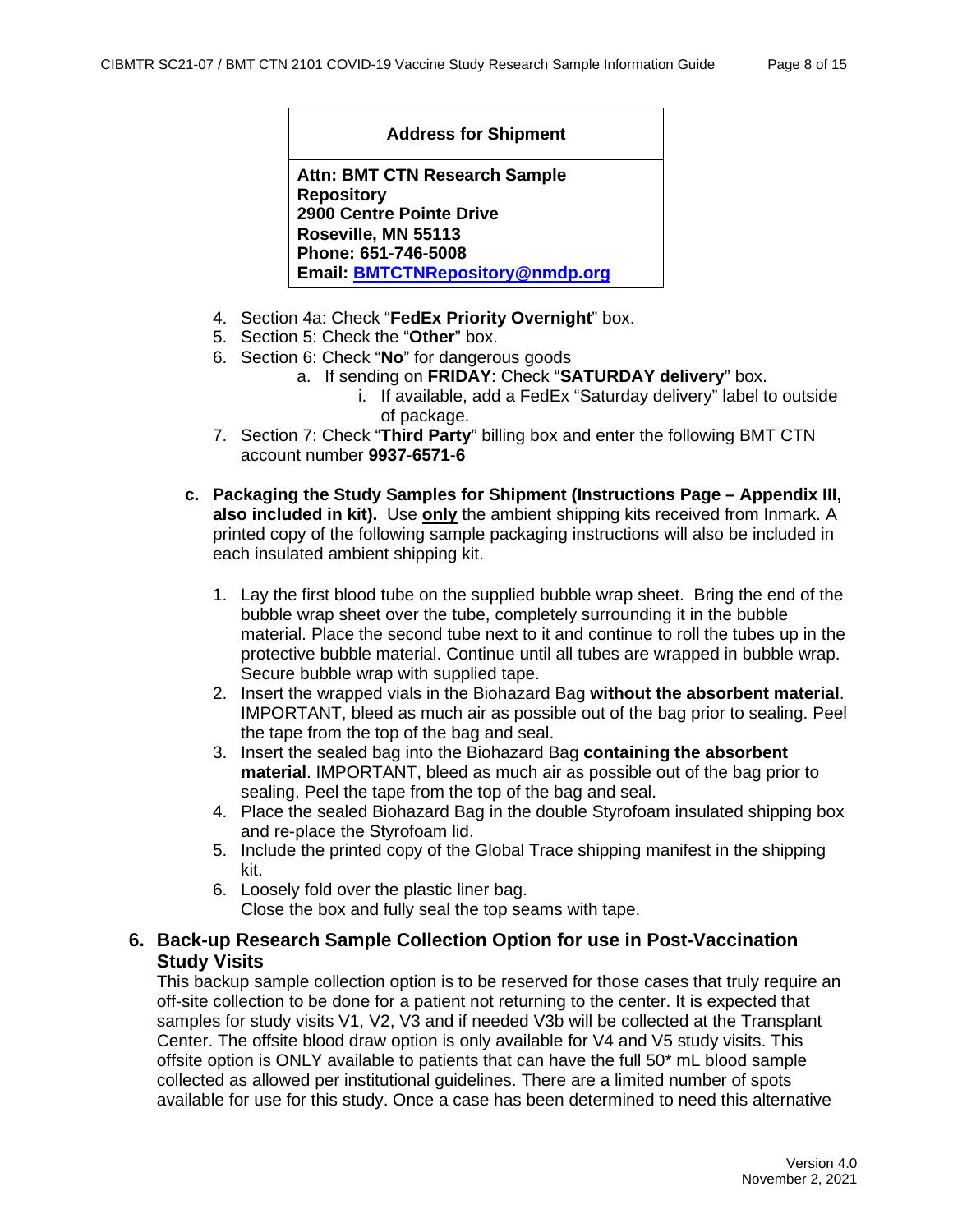#### **Address for Shipment**

**Attn: BMT CTN Research Sample Repository 2900 Centre Pointe Drive Roseville, MN 55113 Phone: 651-746-5008 Email: [BMTCTNRepository@nmdp.org](mailto:BMTCTNRepository@nmdp.org)**

- 4. Section 4a: Check "**FedEx Priority Overnight**" box.
- 5. Section 5: Check the "**Other**" box.
- 6. Section 6: Check "**No**" for dangerous goods
	- a. If sending on **FRIDAY**: Check "**SATURDAY delivery**" box.
		- i. If available, add a FedEx "Saturday delivery" label to outside of package.
- 7. Section 7: Check "**Third Party**" billing box and enter the following BMT CTN account number **9937-6571-6**
- **c. Packaging the Study Samples for Shipment (Instructions Page – Appendix III, also included in kit).** Use **only** the ambient shipping kits received from Inmark. A printed copy of the following sample packaging instructions will also be included in each insulated ambient shipping kit.
	- 1. Lay the first blood tube on the supplied bubble wrap sheet. Bring the end of the bubble wrap sheet over the tube, completely surrounding it in the bubble material. Place the second tube next to it and continue to roll the tubes up in the protective bubble material. Continue until all tubes are wrapped in bubble wrap. Secure bubble wrap with supplied tape.
	- 2. Insert the wrapped vials in the Biohazard Bag **without the absorbent material**. IMPORTANT, bleed as much air as possible out of the bag prior to sealing. Peel the tape from the top of the bag and seal.
	- 3. Insert the sealed bag into the Biohazard Bag **containing the absorbent material**. IMPORTANT, bleed as much air as possible out of the bag prior to sealing. Peel the tape from the top of the bag and seal.
	- 4. Place the sealed Biohazard Bag in the double Styrofoam insulated shipping box and re-place the Styrofoam lid.
	- 5. Include the printed copy of the Global Trace shipping manifest in the shipping kit.
	- 6. Loosely fold over the plastic liner bag. Close the box and fully seal the top seams with tape.

#### <span id="page-7-0"></span>**6. Back-up Research Sample Collection Option for use in Post-Vaccination Study Visits**

This backup sample collection option is to be reserved for those cases that truly require an off-site collection to be done for a patient not returning to the center. It is expected that samples for study visits V1, V2, V3 and if needed V3b will be collected at the Transplant Center. The offsite blood draw option is only available for V4 and V5 study visits. This offsite option is ONLY available to patients that can have the full 50\* mL blood sample collected as allowed per institutional guidelines. There are a limited number of spots available for use for this study. Once a case has been determined to need this alternative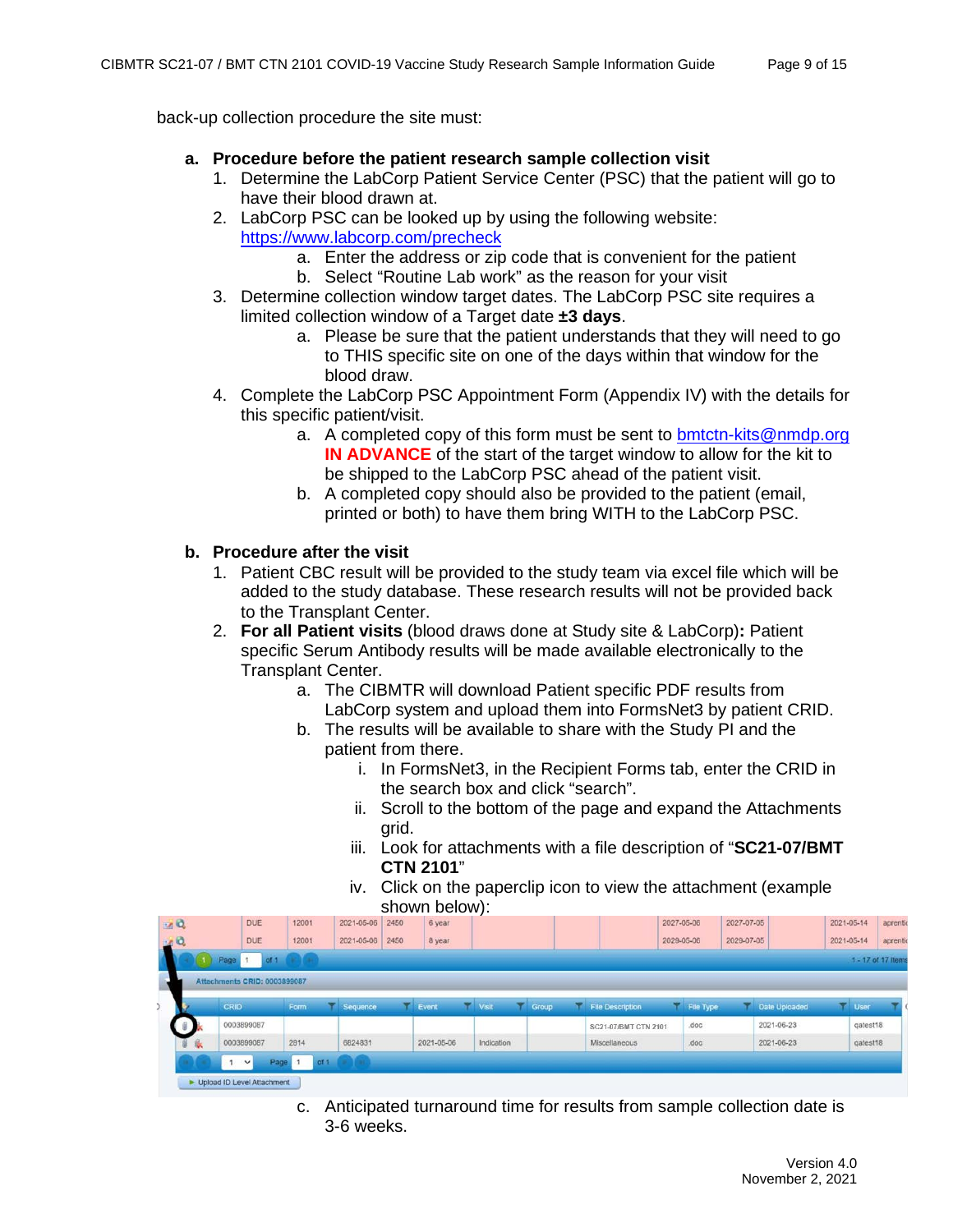back-up collection procedure the site must:

#### **a. Procedure before the patient research sample collection visit**

- 1. Determine the LabCorp Patient Service Center (PSC) that the patient will go to have their blood drawn at.
- 2. LabCorp PSC can be looked up by using the following website: <https://www.labcorp.com/precheck>
	- a. Enter the address or zip code that is convenient for the patient
	- b. Select "Routine Lab work" as the reason for your visit
- 3. Determine collection window target dates. The LabCorp PSC site requires a limited collection window of a Target date **±3 days**.
	- a. Please be sure that the patient understands that they will need to go to THIS specific site on one of the days within that window for the blood draw.
- 4. Complete the LabCorp PSC Appointment Form (Appendix IV) with the details for this specific patient/visit.
	- a. A completed copy of this form must be sent to [bmtctn-kits@nmdp.org](mailto:bmtctn-kits@nmdp.org) **IN ADVANCE** of the start of the target window to allow for the kit to be shipped to the LabCorp PSC ahead of the patient visit.
	- b. A completed copy should also be provided to the patient (email, printed or both) to have them bring WITH to the LabCorp PSC.

#### **b. Procedure after the visit**

- 1. Patient CBC result will be provided to the study team via excel file which will be added to the study database. These research results will not be provided back to the Transplant Center.
- 2. **For all Patient visits** (blood draws done at Study site & LabCorp)**:** Patient specific Serum Antibody results will be made available electronically to the Transplant Center.
	- a. The CIBMTR will download Patient specific PDF results from LabCorp system and upload them into FormsNet3 by patient CRID.
	- b. The results will be available to share with the Study PI and the patient from there.
		- i. In FormsNet3, in the Recipient Forms tab, enter the CRID in the search box and click "search".
		- ii. Scroll to the bottom of the page and expand the Attachments grid.
		- iii. Look for attachments with a file description of "**SC21-07/BMT CTN 2101**"
		- iv. Click on the paperclip icon to view the attachment (example shown below):

|                           |    |                              |                         |               |      | . <del>.</del> |            |              |                      |            |            |               |            |          |                    |
|---------------------------|----|------------------------------|-------------------------|---------------|------|----------------|------------|--------------|----------------------|------------|------------|---------------|------------|----------|--------------------|
| $\mathbf{a}$ $\mathbf{a}$ |    | <b>DUE</b>                   | 12001                   | 2021-05-06    | 2450 | 6 year         |            |              |                      | 2027-05-06 | 2027-07-05 |               | 2021-05-14 |          | aprenti            |
| $\mathbf{A}^{\mathbf{a}}$ |    | <b>DUE</b>                   | 12001                   | 2021-05-06    | 2450 | 8 year         |            |              |                      | 2029-05-06 | 2029-07-05 |               | 2021-05-14 |          | aprenti            |
|                           |    | of 1<br>Page 1               |                         |               |      |                |            |              |                      |            |            |               |            |          | 1 - 17 of 17 items |
|                           |    | Attachments CRID: 0003899087 |                         |               |      |                |            |              |                      |            |            |               |            |          |                    |
|                           |    | CRID                         | Form                    | Sequence<br>v |      | Event          | Visit      | <b>Group</b> | File Description     | File Type  |            | Date Uploaded |            | User     |                    |
|                           |    | 0003899087                   |                         |               |      |                |            |              | SC21-07/BMT CTN 2101 | .doc       |            | 2021-06-23    |            | qatest18 |                    |
|                           | 日本 | 0003899087                   | 2814                    | 6824831       |      | 2021-05-06     | Indication |              | Miscellaneous        | .doc       |            | 2021-06-23    |            | qatest18 |                    |
|                           |    | $\vee$                       | Page $1 \Delta$<br>of 1 |               |      |                |            |              |                      |            |            |               |            |          |                    |
|                           |    | Upload ID Level Attachment   |                         |               |      |                |            |              |                      |            |            |               |            |          |                    |

c. Anticipated turnaround time for results from sample collection date is 3-6 weeks.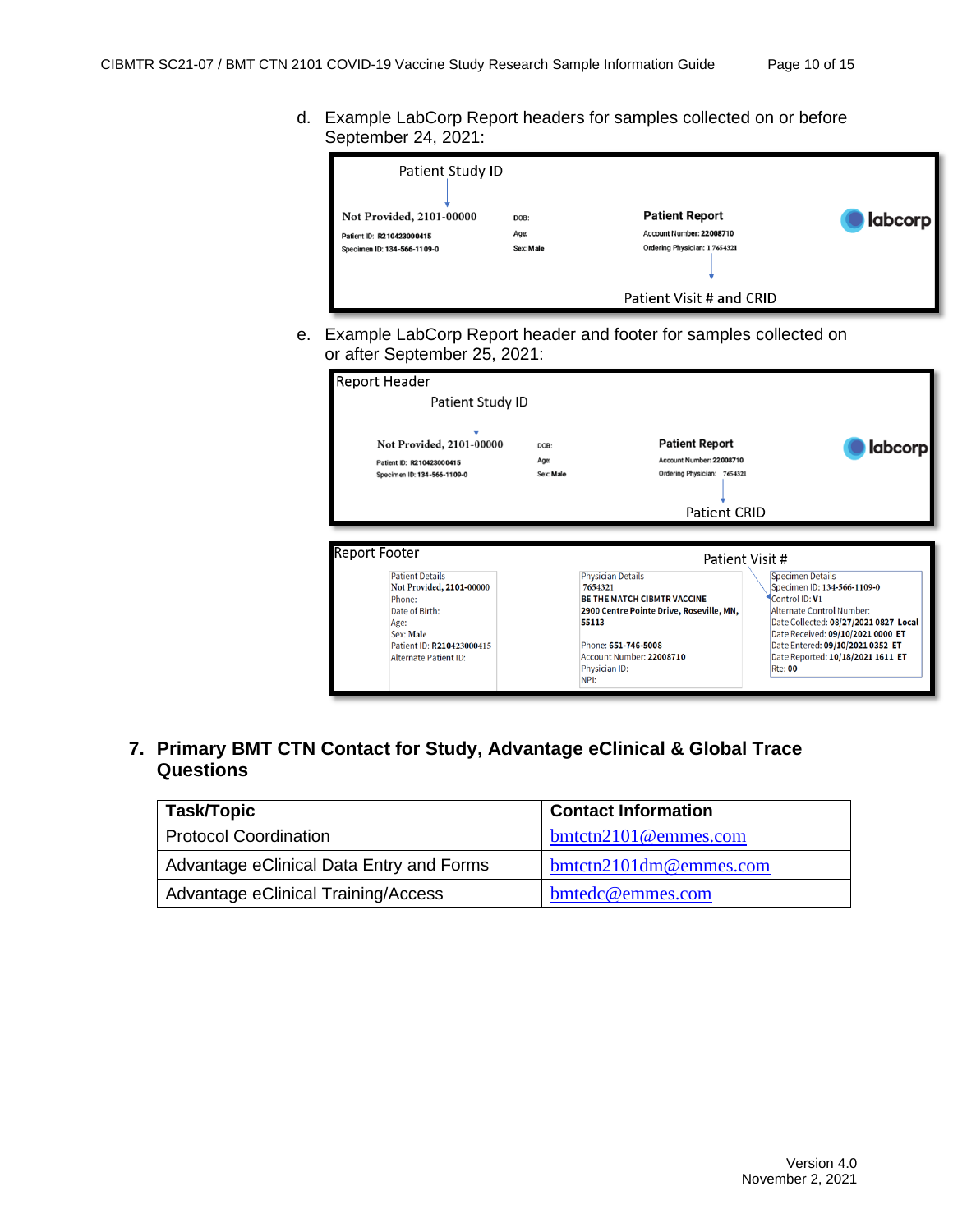d. Example LabCorp Report headers for samples collected on or before September 24, 2021:

| Patient Study ID<br>Not Provided, 2101-00000<br>Patient ID: R210423000415<br>Specimen ID: 134-566-1109-0 | DOB:<br>Age:<br>Sex: Male | <b>Patient Report</b><br>Account Number: 22008710<br>Ordering Physician: 17654321 | <b>labcorp</b> |
|----------------------------------------------------------------------------------------------------------|---------------------------|-----------------------------------------------------------------------------------|----------------|
|                                                                                                          |                           | Patient Visit # and CRID                                                          |                |

e. Example LabCorp Report header and footer for samples collected on or after September 25, 2021:

| <b>Report Header</b>                                                                                                                                             |                           |                                                                                                                                                                                   |                                                                                                                                                                                                                                                                     |
|------------------------------------------------------------------------------------------------------------------------------------------------------------------|---------------------------|-----------------------------------------------------------------------------------------------------------------------------------------------------------------------------------|---------------------------------------------------------------------------------------------------------------------------------------------------------------------------------------------------------------------------------------------------------------------|
| Patient Study ID                                                                                                                                                 |                           |                                                                                                                                                                                   |                                                                                                                                                                                                                                                                     |
| Not Provided, 2101-00000<br>Patient ID: R210423000415<br>Specimen ID: 134-566-1109-0                                                                             | DOB:<br>Age:<br>Sex: Male | <b>Patient Report</b><br>Account Number: 22008710<br>Ordering Physician: 7654321                                                                                                  | <b>labcorp</b>                                                                                                                                                                                                                                                      |
|                                                                                                                                                                  |                           | <b>Patient CRID</b>                                                                                                                                                               |                                                                                                                                                                                                                                                                     |
| Report Footer                                                                                                                                                    |                           |                                                                                                                                                                                   | Patient Visit #                                                                                                                                                                                                                                                     |
| <b>Patient Details</b><br>Not Provided, 2101-00000<br>Phone:<br>Date of Birth:<br>Age:<br>Sex: Male<br>Patient ID: R210423000415<br><b>Alternate Patient ID:</b> |                           | <b>Physician Details</b><br>7654321<br><b>BE THE MATCH CIBMTR VACCINE</b><br>2900 Centre Pointe Drive, Roseville, MN,<br>55113<br>Phone: 651-746-5008<br>Account Number: 22008710 | <b>Specimen Details</b><br>Specimen ID: 134-566-1109-0<br>Control ID: V1<br><b>Alternate Control Number:</b><br>Date Collected: 08/27/2021 0827 Local<br>Date Received: 09/10/2021 0000 ET<br>Date Entered: 09/10/2021 0352 ET<br>Date Reported: 10/18/2021 1611 ET |

<span id="page-9-0"></span>**7. Primary BMT CTN Contact for Study, Advantage eClinical & Global Trace Questions**

| Task/Topic                               | <b>Contact Information</b>  |
|------------------------------------------|-----------------------------|
| <b>Protocol Coordination</b>             | $b$ mtctn $2101$ @emmes.com |
| Advantage eClinical Data Entry and Forms | $b$ mtctn2101dm@emmes.com   |
| Advantage eClinical Training/Access      | bmtedc@emmes.com            |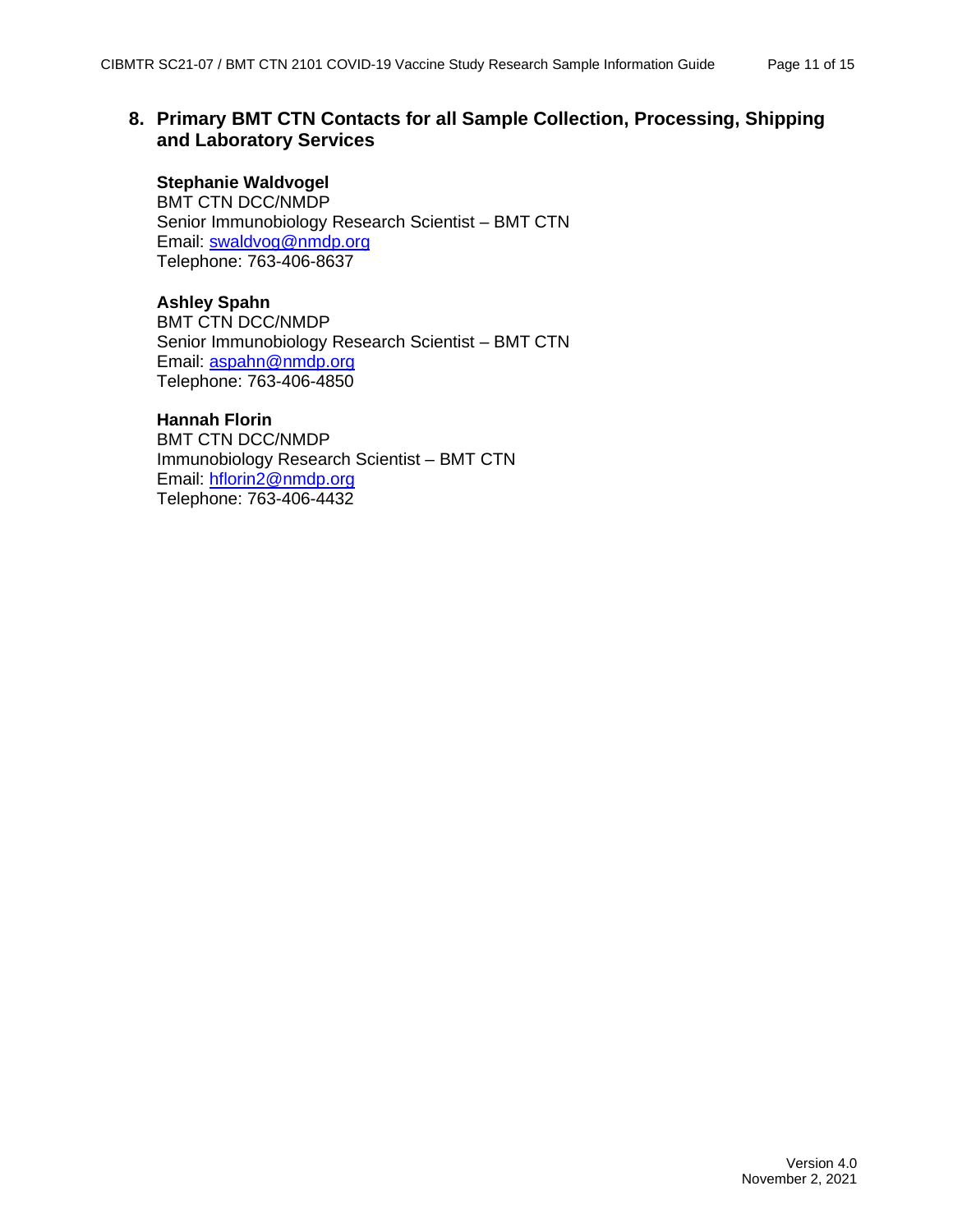#### <span id="page-10-0"></span>**8. Primary BMT CTN Contacts for all Sample Collection, Processing, Shipping and Laboratory Services**

#### **Stephanie Waldvogel**

BMT CTN DCC/NMDP Senior Immunobiology Research Scientist – BMT CTN Email: [swaldvog@nmdp.org](mailto:swaldvog@nmdp.org) Telephone: 763-406-8637

#### **Ashley Spahn**

BMT CTN DCC/NMDP Senior Immunobiology Research Scientist – BMT CTN Email: [aspahn@nmdp.org](mailto:aspahn@nmdp.org) Telephone: 763-406-4850

#### **Hannah Florin**

BMT CTN DCC/NMDP Immunobiology Research Scientist – BMT CTN Email: [hflorin2@nmdp.org](mailto:aspahn@nmdp.org) Telephone: 763-406-4432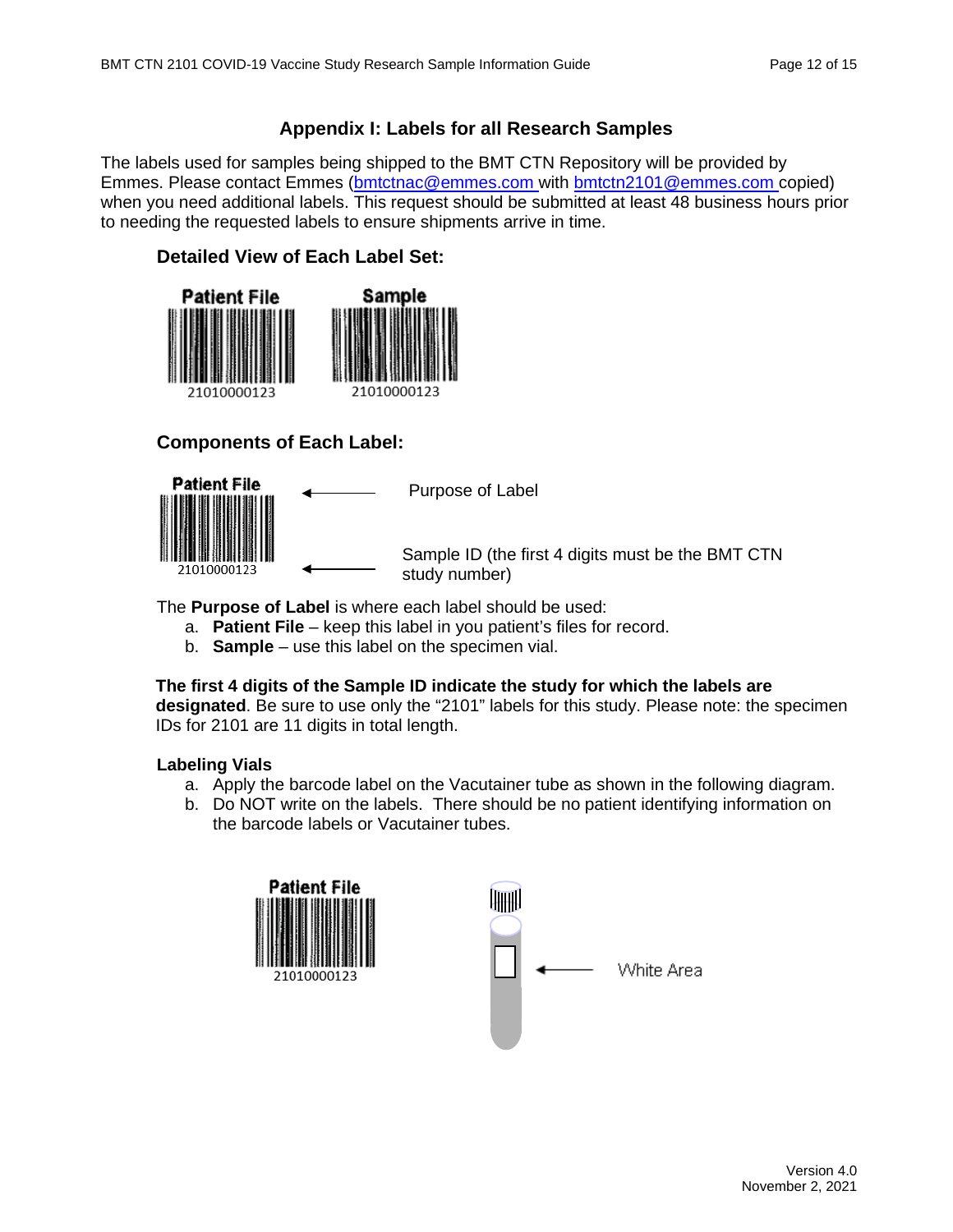### **Appendix I: Labels for all Research Samples**

<span id="page-11-0"></span>The labels used for samples being shipped to the BMT CTN Repository will be provided by Emmes. Please contact Emmes [\(bmtctnac@emmes.com](mailto:bmtctnac@emmes.com) with [bmtctn2101@emmes.com](mailto:bmtctn2101@emmes.com) copied) when you need additional labels. This request should be submitted at least 48 business hours prior to needing the requested labels to ensure shipments arrive in time.

#### **Detailed View of Each Label Set:**



#### **Components of Each Label:**



Purpose of Label

Sample ID (the first 4 digits must be the BMT CTN study number)

The **Purpose of Label** is where each label should be used:

- a. **Patient File** keep this label in you patient's files for record.
- b. **Sample** use this label on the specimen vial.

#### **The first 4 digits of the Sample ID indicate the study for which the labels are**

**designated**. Be sure to use only the "2101" labels for this study. Please note: the specimen IDs for 2101 are 11 digits in total length.

#### **Labeling Vials**

- a. Apply the barcode label on the Vacutainer tube as shown in the following diagram.
- b. Do NOT write on the labels. There should be no patient identifying information on the barcode labels or Vacutainer tubes.

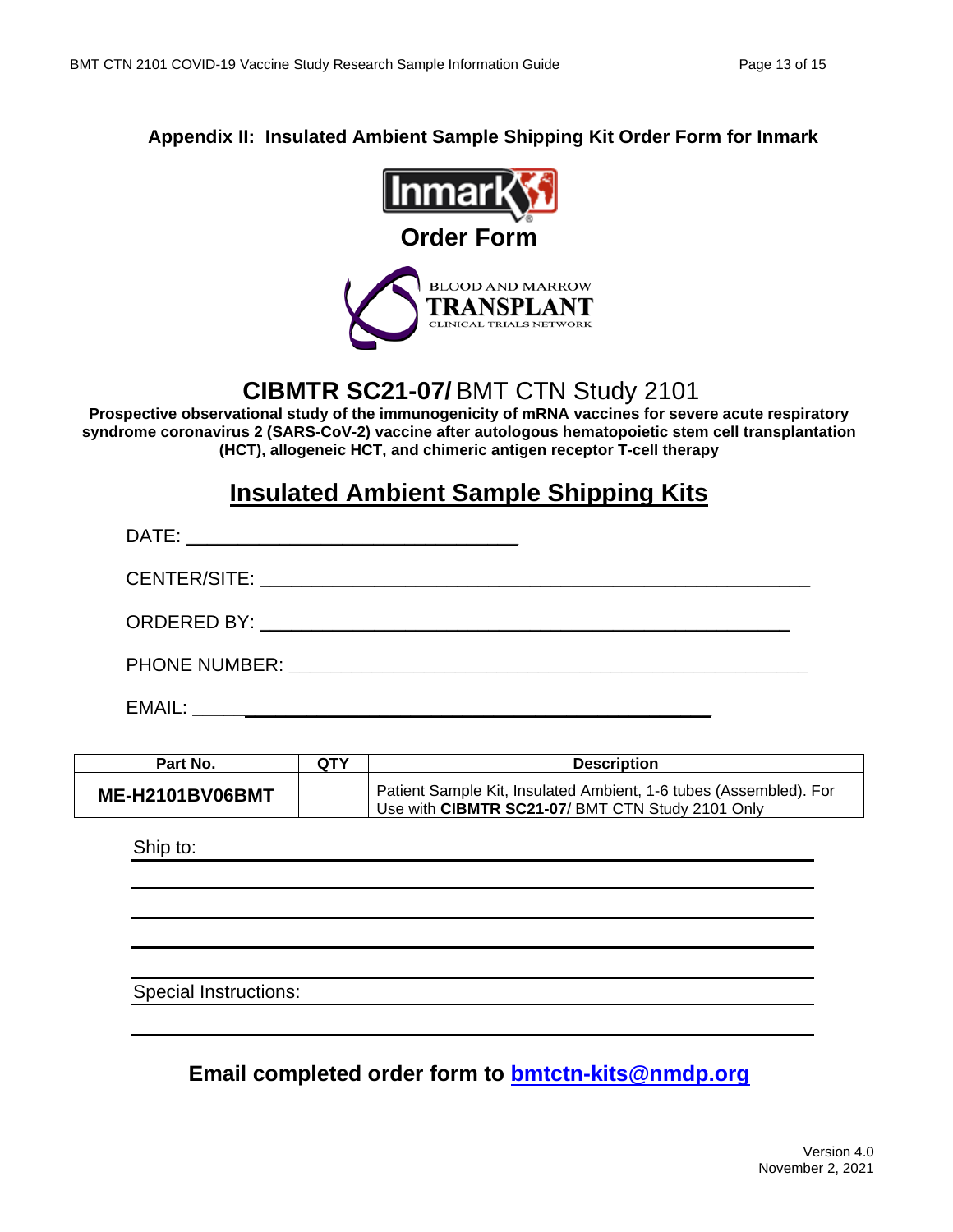#### <span id="page-12-0"></span>**Appendix II: Insulated Ambient Sample Shipping Kit Order Form for Inmark**



## **CIBMTR SC21-07/** BMT CTN Study 2101

**Prospective observational study of the immunogenicity of mRNA vaccines for severe acute respiratory syndrome coronavirus 2 (SARS-CoV-2) vaccine after autologous hematopoietic stem cell transplantation (HCT), allogeneic HCT, and chimeric antigen receptor T-cell therapy**

## **Insulated Ambient Sample Shipping Kits**

| DATE:<br><u> 1989 - Johann John Stein, fransk politik (d. 1989)</u>                                                                                                                                                            |  |
|--------------------------------------------------------------------------------------------------------------------------------------------------------------------------------------------------------------------------------|--|
|                                                                                                                                                                                                                                |  |
|                                                                                                                                                                                                                                |  |
| PHONE NUMBER: University of the Manual Action of the Manual Action of the Manual Action of the Manual Action of the Manual Action of the Manual Action of the Manual Action of the Manual Action of the Manual Action of the M |  |
| EMAIL:                                                                                                                                                                                                                         |  |

| Part No.               | <b>QTY</b> | <b>Description</b>                                                                                                    |
|------------------------|------------|-----------------------------------------------------------------------------------------------------------------------|
| <b>ME-H2101BV06BMT</b> |            | Patient Sample Kit, Insulated Ambient, 1-6 tubes (Assembled). For<br>Use with CIBMTR SC21-07/ BMT CTN Study 2101 Only |

Ship to:

Special Instructions:

**Email completed order form to [bmtctn-kits@nmdp.org](mailto:bmtctn-kits@nmdp.org?subject=1507%20Kit%20Order)**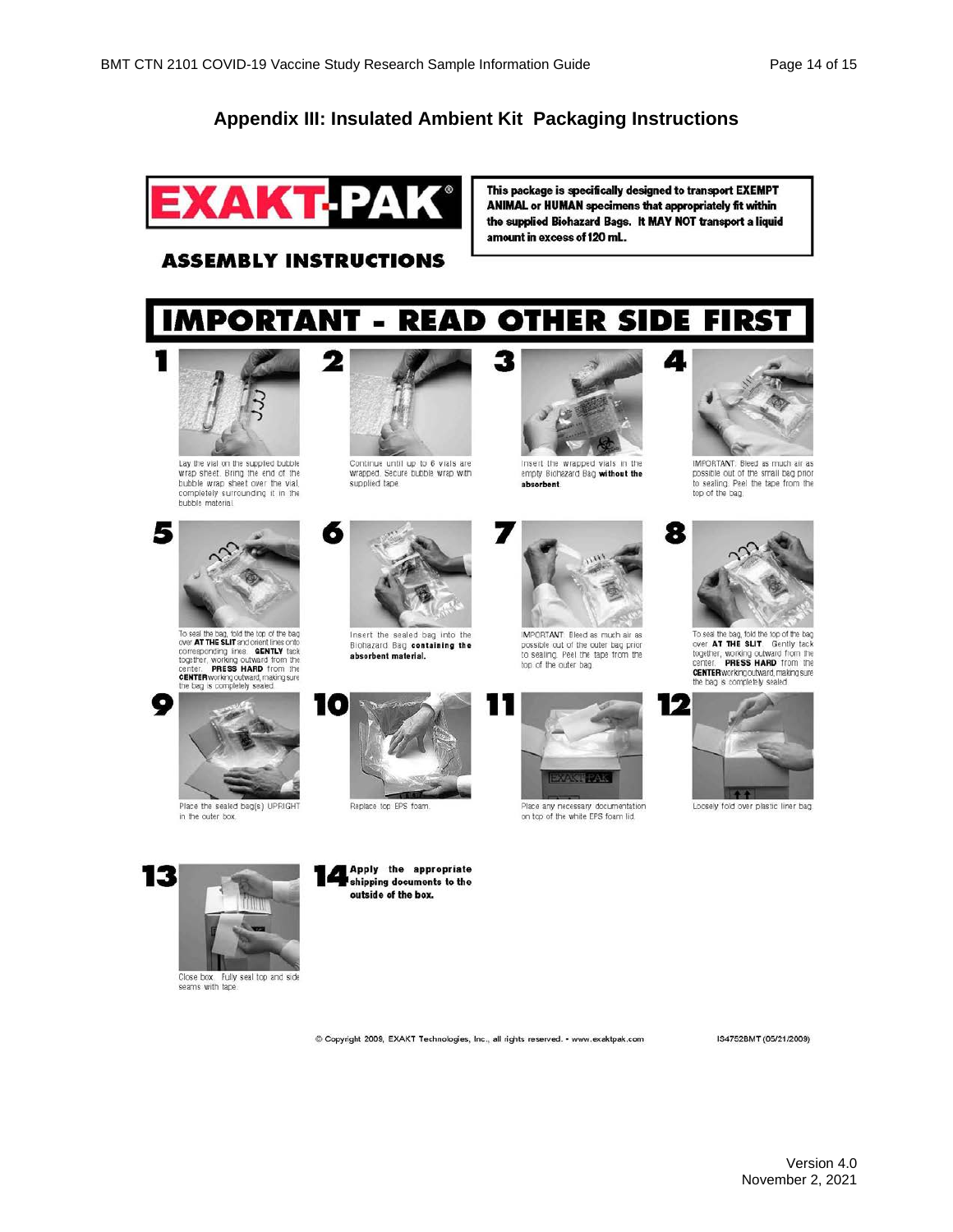### **Appendix III: Insulated Ambient Kit Packaging Instructions**



This package is specifically designed to transport EXEMPT ANIMAL or HUMAN specimens that appropriately fit within the supplied Biohazard Bags. It MAY NOT transport a liquid amount in excess of 120 mL.

Δ.

#### **ASSEMBLY INSTRUCTIONS**

#### **IMPORTANT -OTHER SIDE FIRST READ**



Lay the vial on the supplied bubble<br>wrap sheet. Bring the end of the bubble wrap sheet over the vial, completely surrounding it in the<br>bubble material.



To seal the bag, fold the top of the bag<br>over **ATTHE SLIT** and order three orto<br>consponding these **GENTLY** tack<br>together, working outward from the<br>center. **PRESS HARD** from the<br>**CENTER working outward**, making sure<br>the bag

Place the sealed bag(s) UPRIGHT

in the outer box

9



Continue until up to 6 vials are<br>wrapped. Secure bubble wrap with supplied tape



Insert the sealed bag into the Biohazard Bag containing the absorbent material.



Replace top EPS foam

Apply the appropriate

shipping documents to the outside of the box.



Insert the wrapped vials in the<br>empty Biohazard Bag without the absorbent.



possible out of the outer bag prior<br>to sealing. Peel the tape from the top of the outer bag.



on top of the white EPS foam lid.



IMPORTANT: Bleed as much air as<br>possible out of the small bag prior to sealing. Peel the tape from the top of the bag.



To seal the bag, fold the top of the bag<br>over **AT THE SLIT**. Gently tack<br>together, working outward from the<br>center. **PRESS HARD** from the CENTER working outward, making sure<br>the bag is completely sealed.



Loosely fold over plastic liner bag



Close box Fully seal top and side<br>seams with tape.

© Copyright 2009, EXAKT Technologies, Inc., all rights reserved. • www.exaktpak.com

IS4752BMT (05/21/2009)